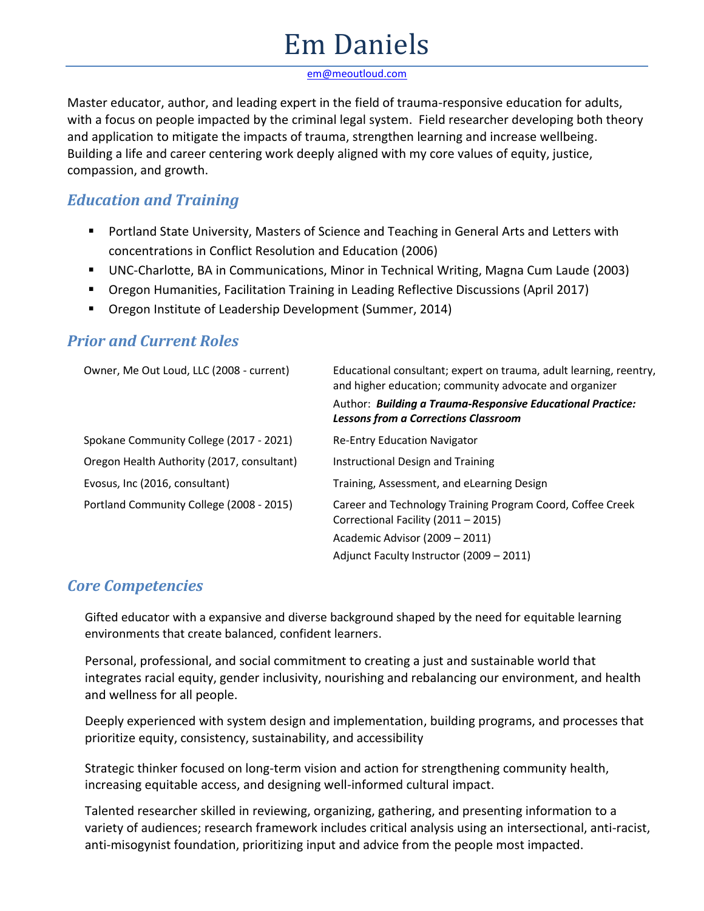# Em Daniels

[em@meoutloud.com](mailto:em@meoutloud.com)

Master educator, author, and leading expert in the field of trauma-responsive education for adults, with a focus on people impacted by the criminal legal system. Field researcher developing both theory and application to mitigate the impacts of trauma, strengthen learning and increase wellbeing. Building a life and career centering work deeply aligned with my core values of equity, justice, compassion, and growth.

### *Education and Training*

- Portland State University, Masters of Science and Teaching in General Arts and Letters with concentrations in Conflict Resolution and Education (2006)
- UNC-Charlotte, BA in Communications, Minor in Technical Writing, Magna Cum Laude (2003)
- Oregon Humanities, Facilitation Training in Leading Reflective Discussions (April 2017)
- Oregon Institute of Leadership Development (Summer, 2014)

| Owner, Me Out Loud, LLC (2008 - current)   | Educational consultant; expert on trauma, adult learning, reentry,<br>and higher education; community advocate and organizer |
|--------------------------------------------|------------------------------------------------------------------------------------------------------------------------------|
|                                            | Author: Building a Trauma-Responsive Educational Practice:<br><b>Lessons from a Corrections Classroom</b>                    |
| Spokane Community College (2017 - 2021)    | <b>Re-Entry Education Navigator</b>                                                                                          |
| Oregon Health Authority (2017, consultant) | Instructional Design and Training                                                                                            |
| Evosus, Inc (2016, consultant)             | Training, Assessment, and eLearning Design                                                                                   |
| Portland Community College (2008 - 2015)   | Career and Technology Training Program Coord, Coffee Creek<br>Correctional Facility (2011 - 2015)                            |
|                                            | Academic Advisor (2009 – 2011)                                                                                               |
|                                            | Adjunct Faculty Instructor (2009 - 2011)                                                                                     |

#### *Prior and Current Roles*

#### *Core Competencies*

Gifted educator with a expansive and diverse background shaped by the need for equitable learning environments that create balanced, confident learners.

Personal, professional, and social commitment to creating a just and sustainable world that integrates racial equity, gender inclusivity, nourishing and rebalancing our environment, and health and wellness for all people.

Deeply experienced with system design and implementation, building programs, and processes that prioritize equity, consistency, sustainability, and accessibility

Strategic thinker focused on long-term vision and action for strengthening community health, increasing equitable access, and designing well-informed cultural impact.

Talented researcher skilled in reviewing, organizing, gathering, and presenting information to a variety of audiences; research framework includes critical analysis using an intersectional, anti-racist, anti-misogynist foundation, prioritizing input and advice from the people most impacted.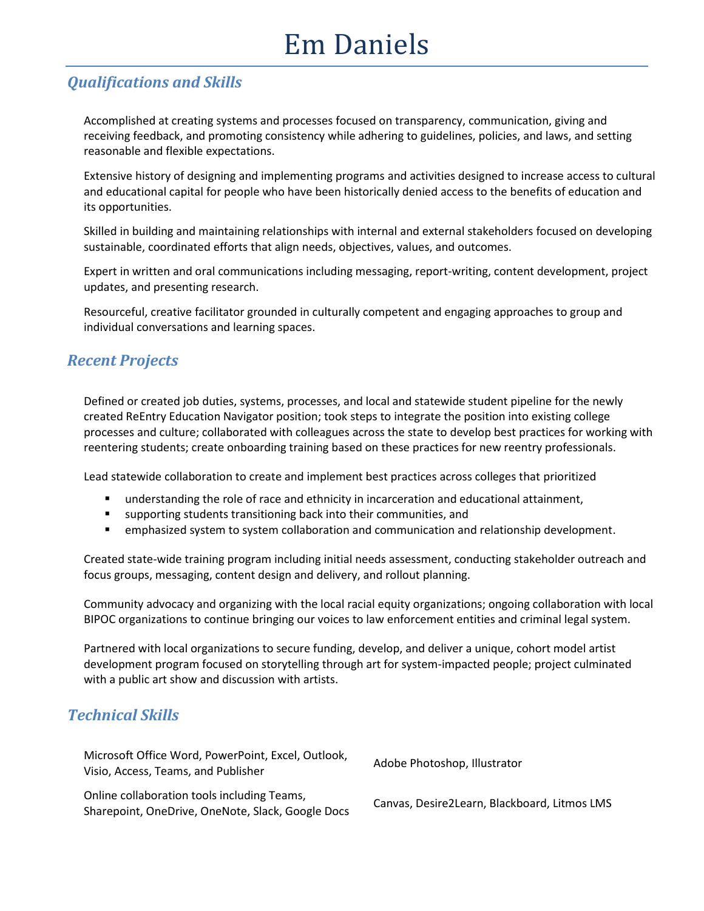## Em Daniels

### *Qualifications and Skills*

Accomplished at creating systems and processes focused on transparency, communication, giving and receiving feedback, and promoting consistency while adhering to guidelines, policies, and laws, and setting reasonable and flexible expectations.

Extensive history of designing and implementing programs and activities designed to increase access to cultural and educational capital for people who have been historically denied access to the benefits of education and its opportunities.

Skilled in building and maintaining relationships with internal and external stakeholders focused on developing sustainable, coordinated efforts that align needs, objectives, values, and outcomes.

Expert in written and oral communications including messaging, report-writing, content development, project updates, and presenting research.

Resourceful, creative facilitator grounded in culturally competent and engaging approaches to group and individual conversations and learning spaces.

#### *Recent Projects*

Defined or created job duties, systems, processes, and local and statewide student pipeline for the newly created ReEntry Education Navigator position; took steps to integrate the position into existing college processes and culture; collaborated with colleagues across the state to develop best practices for working with reentering students; create onboarding training based on these practices for new reentry professionals.

Lead statewide collaboration to create and implement best practices across colleges that prioritized

- understanding the role of race and ethnicity in incarceration and educational attainment,
- supporting students transitioning back into their communities, and
- **■** emphasized system to system collaboration and communication and relationship development.

Created state-wide training program including initial needs assessment, conducting stakeholder outreach and focus groups, messaging, content design and delivery, and rollout planning.

Community advocacy and organizing with the local racial equity organizations; ongoing collaboration with local BIPOC organizations to continue bringing our voices to law enforcement entities and criminal legal system.

Partnered with local organizations to secure funding, develop, and deliver a unique, cohort model artist development program focused on storytelling through art for system-impacted people; project culminated with a public art show and discussion with artists.

#### *Technical Skills*

| Microsoft Office Word, PowerPoint, Excel, Outlook,<br>Visio, Access, Teams, and Publisher        | Adobe Photoshop, Illustrator                 |
|--------------------------------------------------------------------------------------------------|----------------------------------------------|
| Online collaboration tools including Teams,<br>Sharepoint, OneDrive, OneNote, Slack, Google Docs | Canvas, Desire2Learn, Blackboard, Litmos LMS |